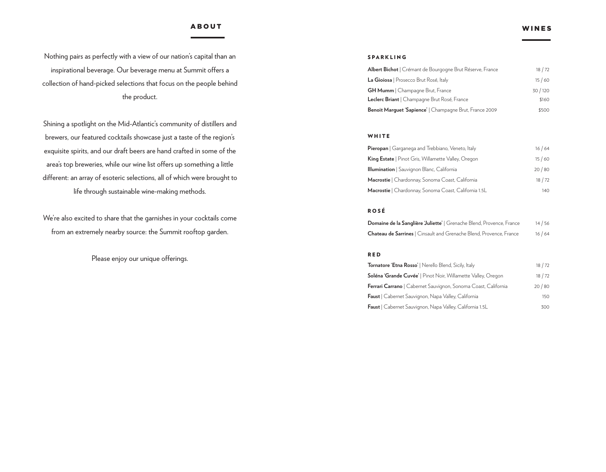# ABOUT WINES

Nothing pairs as perfectly with a view of our nation's capital than an inspirational beverage. Our beverage menu at Summit offers a collection of hand-picked selections that focus on the people behind the product.

Shining a spotlight on the Mid-Atlantic's community of distillers and brewers, our featured cocktails showcase just a taste of the region's exquisite spirits, and our draft beers are hand crafted in some of the area's top breweries, while our wine list offers up something a little different: an array of esoteric selections, all of which were brought to life through sustainable wine-making methods.

We're also excited to share that the garnishes in your cocktails come from an extremely nearby source: the Summit rooftop garden.

Please enjoy our unique offerings.

## SPARKLING

| Albert Bichot   Crémant de Bourgogne Brut Réserve, France      | 18/72  |
|----------------------------------------------------------------|--------|
| La Gioiosa   Prosecco Brut Rosé, Italy                         | 15/60  |
| <b>GH Mumm</b>   Champagne Brut, France                        | 30/120 |
| Leclerc Briant   Champagne Brut Rosé, France                   | \$160  |
| <b>Benoit Marguet 'Sapience'</b>   Champagne Brut, France 2009 | \$500  |

#### WHITE

| <b>Pieropan</b>   Garganega and Trebbiano, Veneto, Italy   | 16/64 |
|------------------------------------------------------------|-------|
| <b>King Estate</b>   Pinot Gris, Willamette Valley, Oregon | 15/60 |
| <b>Illumination</b>   Sauvignon Blanc, California          | 20/80 |
| Macrostie   Chardonnay, Sonoma Coast, California           | 18/72 |
| Macrostie   Chardonnay, Sonoma Coast, California 1.5L      | 140.  |

### ROSÉ

| Domaine de la Sanglière Juliette'   Grenache Blend, Provence, France       | 14/56 |
|----------------------------------------------------------------------------|-------|
| <b>Chateau de Sarrines</b>   Cinsault and Grenache Blend, Provence, France | 16/64 |

#### RED

| Tornatore 'Etna Rosso'   Nerello Blend, Sicily, Italy          | 18/72 |
|----------------------------------------------------------------|-------|
| Soléna 'Grande Cuvée'   Pinot Noir, Willamette Valley, Oregon  | 18/72 |
| Ferrari Carrano   Cabernet Sauvignon, Sonoma Coast, California | 20/80 |
| Faust   Cabernet Sauvignon, Napa Valley, California            | 150   |
| Faust   Cabernet Sauvignon, Napa Valley, California 1.5L       | 300   |